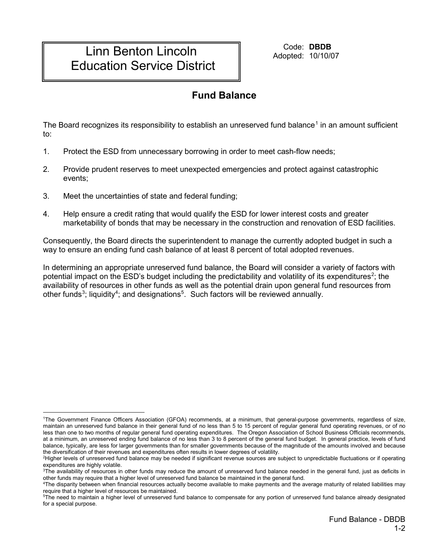## Linn Benton Lincoln Education Service District

Code: **DBDB** Adopted: 10/10/07

## **Fund Balance**

The Board recognizes its responsibility to establish an unreserved fund balance<sup>[1](#page-0-0)</sup> in an amount sufficient to:

- 1. Protect the ESD from unnecessary borrowing in order to meet cash-flow needs;
- 2. Provide prudent reserves to meet unexpected emergencies and protect against catastrophic events;
- 3. Meet the uncertainties of state and federal funding;
- 4. Help ensure a credit rating that would qualify the ESD for lower interest costs and greater marketability of bonds that may be necessary in the construction and renovation of ESD facilities.

Consequently, the Board directs the superintendent to manage the currently adopted budget in such a way to ensure an ending fund cash balance of at least 8 percent of total adopted revenues.

In determining an appropriate unreserved fund balance, the Board will consider a variety of factors with potential impact on the ESD's budget including the predictability and volatility of its expenditures<sup>[2](#page-0-1)</sup>; the availability of resources in other funds as well as the potential drain upon general fund resources from other funds<sup>[3](#page-0-2)</sup>; liquidity<sup>[4](#page-0-3)</sup>; and designations<sup>[5](#page-0-4)</sup>. Such factors will be reviewed annually.

<span id="page-0-0"></span> $\overline{a}$ 1 The Government Finance Officers Association (GFOA) recommends, at a minimum, that general-purpose governments, regardless of size, maintain an unreserved fund balance in their general fund of no less than 5 to 15 percent of regular general fund operating revenues, or of no less than one to two months of regular general fund operating expenditures. The Oregon Association of School Business Officials recommends, at a minimum, an unreserved ending fund balance of no less than 3 to 8 percent of the general fund budget. In general practice, levels of fund balance, typically, are less for larger governments than for smaller governments because of the magnitude of the amounts involved and because the diversification of their revenues and expenditures often results in lower degrees of volatility.

<span id="page-0-1"></span><sup>2</sup> Higher levels of unreserved fund balance may be needed if significant revenue sources are subject to unpredictable fluctuations or if operating expenditures are highly volatile.

<span id="page-0-2"></span> $^3$ The availability of resources in other funds may reduce the amount of unreserved fund balance needed in the general fund, just as deficits in other funds may require that a higher level of unreserved fund balance be maintained in the general fund.

<span id="page-0-3"></span><sup>4</sup> The disparity between when financial resources actually become available to make payments and the average maturity of related liabilities may require that a higher level of resources be maintained.

<span id="page-0-4"></span><sup>5</sup> The need to maintain a higher level of unreserved fund balance to compensate for any portion of unreserved fund balance already designated for a special purpose.